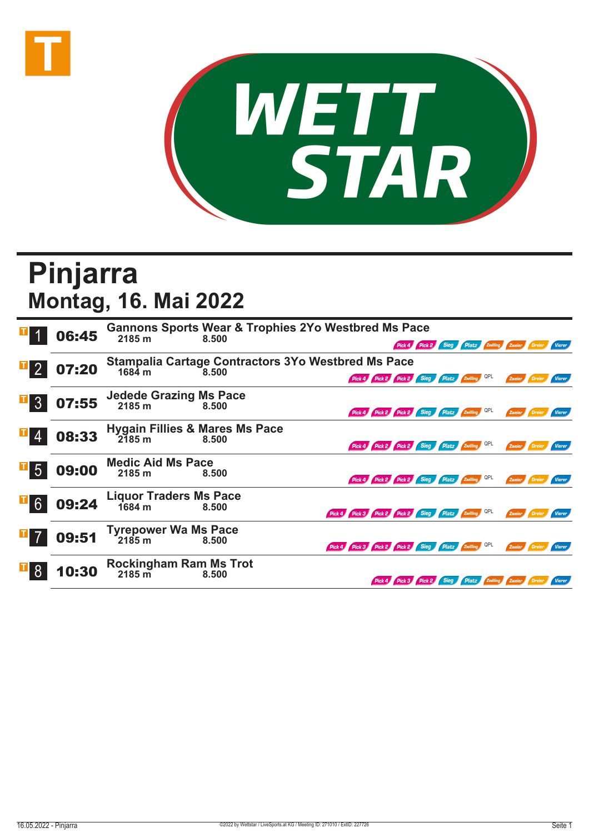



## **Pinjarra Montag, 16. Mai 2022**

|                 | 06:45 | 2185 m                                              | <b>Gannons Sports Wear &amp; Trophies 2Yo Westbred Ms Pace</b><br>8.500 |                                                     |                           | Pick 4 Pick 2 Sieg Platz Zwilling Zweier Dreier |                                     |        |               |               |
|-----------------|-------|-----------------------------------------------------|-------------------------------------------------------------------------|-----------------------------------------------------|---------------------------|-------------------------------------------------|-------------------------------------|--------|---------------|---------------|
| $\mathbf{I}$ 2  | 07:20 | 1684 m                                              | <b>Stampalia Cartage Contractors 3Yo Westbred Ms Pace</b><br>8.500      | Pick 4 Pick 2 Pick 2 Sieg Platz Zwilling            |                           |                                                 |                                     | Zweier |               |               |
| $\overline{3}$  | 07:55 | Jedede Grazing Ms Pace<br>2185 m<br>8.500           |                                                                         | Pick 4 Pick 2 Pick 2 Sieg Platz Zwilling QPL        |                           |                                                 |                                     | Zweier | <b>Dreier</b> | Vierer        |
|                 | 08:33 | <b>Hygain Fillies &amp; Mares Ms Pace</b><br>2185 m | 8.500                                                                   | Pick 4 Pick 2 Pick 2 Sieg Platz Zwilling QPL        |                           |                                                 |                                     | Zweier |               |               |
| $\mathbf{F}$ 5  | 09:00 | <b>Medic Aid Ms Pace</b><br>2185 m                  | 8.500                                                                   | Pick 4 Pick 2 Pick 2 Sieg Platz Zwilling QPL        |                           |                                                 |                                     | Zweier | Dreier        | Vierer        |
| $\overline{1}6$ | 09:24 | <b>Liquor Traders Ms Pace</b><br>1684 m             | 8.500                                                                   | Pick 4 Pick 3 Pick 2 Pick 2 Sieg Platz Zwilling QPL |                           |                                                 |                                     | Zweier | <b>Dreier</b> | <b>Vierer</b> |
|                 | 09:51 | <b>Tyrepower Wa Ms Pace</b><br>ั218๋5 m             | 8.500                                                                   | Pick 4 Pick 3 Pick 2 Pick 2 Sieg Platz Zwilling QPL |                           |                                                 |                                     | Zweier |               |               |
|                 | 10:30 | <b>Rockingham Ram Ms Trot</b><br>$2185 \text{ m}$   | 8.500                                                                   |                                                     | Pick 4 Pick 3 Pick 2 Sieg |                                                 | Platz <b>Zwilling Zweier Dreier</b> |        |               | <b>Vierer</b> |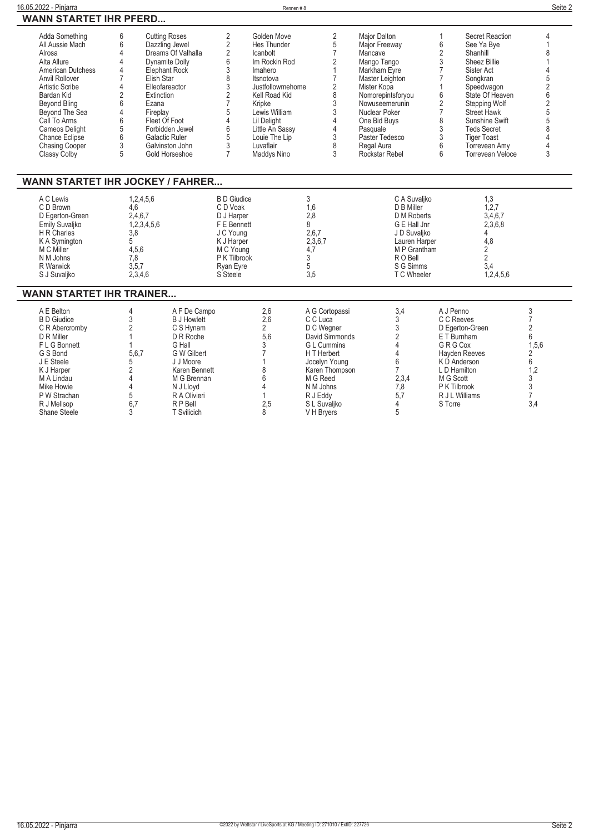| 16.05.2022 - Pinjarra                                                                                                                                                                                                                                                                                       |                                                                                                                                                                                                                                                                                                             |                                                                                                                                                                                            |                                                                                                                                                       | Rennen#8                                                                                                                                                                                                                                     |                                                                                                                                                                                                      |                                                                                                                                                                                                                                                        |                                                                                                                                                                                          |                                                                                                                                                                                                                                                                              | Seite 2                                                                                               |
|-------------------------------------------------------------------------------------------------------------------------------------------------------------------------------------------------------------------------------------------------------------------------------------------------------------|-------------------------------------------------------------------------------------------------------------------------------------------------------------------------------------------------------------------------------------------------------------------------------------------------------------|--------------------------------------------------------------------------------------------------------------------------------------------------------------------------------------------|-------------------------------------------------------------------------------------------------------------------------------------------------------|----------------------------------------------------------------------------------------------------------------------------------------------------------------------------------------------------------------------------------------------|------------------------------------------------------------------------------------------------------------------------------------------------------------------------------------------------------|--------------------------------------------------------------------------------------------------------------------------------------------------------------------------------------------------------------------------------------------------------|------------------------------------------------------------------------------------------------------------------------------------------------------------------------------------------|------------------------------------------------------------------------------------------------------------------------------------------------------------------------------------------------------------------------------------------------------------------------------|-------------------------------------------------------------------------------------------------------|
| <b>WANN STARTET IHR PFERD</b>                                                                                                                                                                                                                                                                               |                                                                                                                                                                                                                                                                                                             |                                                                                                                                                                                            |                                                                                                                                                       |                                                                                                                                                                                                                                              |                                                                                                                                                                                                      |                                                                                                                                                                                                                                                        |                                                                                                                                                                                          |                                                                                                                                                                                                                                                                              |                                                                                                       |
| Adda Something<br>All Aussie Mach<br>Alrosa<br>Alta Allure<br><b>American Dutchess</b><br><b>Anvil Rollover</b><br><b>Artistic Scribe</b><br>Bardan Kid<br><b>Beyond Bling</b><br>Beyond The Sea<br>Call To Arms<br><b>Cameos Delight</b><br><b>Chance Eclipse</b><br><b>Chasing Cooper</b><br>Classy Colby | <b>Cutting Roses</b><br>6<br>6<br>$\overline{4}$<br>$\overline{4}$<br>$\overline{4}$<br>Elephant Rock<br>$\overline{7}$<br>Elish Star<br>4<br>Elleofareactor<br>$\overline{2}$<br>Extinction<br>6<br>Ezana<br>$\overline{4}$<br>Fireplay<br>6<br>Fleet Of Foot<br>5<br>6<br><b>Galactic Ruler</b><br>3<br>5 | Dazzling Jewel<br>Dreams Of Valhalla<br><b>Dynamite Dolly</b><br>Forbidden Jewel<br>Galvinston John<br>Gold Horseshoe                                                                      | $\overline{2}$<br>$\overline{2}$<br>$\overline{2}$<br>6<br>3<br>8<br>3<br>$\overline{2}$<br>$\overline{7}$<br>5<br>4<br>6<br>5<br>3<br>$\overline{7}$ | Golden Move<br>Hes Thunder<br>Icanbolt<br>Im Rockin Rod<br>Imahero<br>Itsnotova<br>Justfollowmehome<br>Kell Road Kid<br>Kripke<br>Lewis William<br><b>Lil Delight</b><br>Little An Sassy<br>Louie The Lip<br>Luvaflair<br><b>Maddys Nino</b> | $\overline{2}$<br>5<br>$\overline{7}$<br>2<br>$\mathbf{1}$<br>$\overline{7}$<br>$\overline{c}$<br>8<br>3<br>3<br>4<br>4<br>3<br>8<br>3                                                               | <b>Maior Dalton</b><br>Major Freeway<br>Mancave<br>Mango Tango<br>Markham Eyre<br>Master Leighton<br>Mister Kopa<br>Nomorepintsforyou<br>Nowuseemerunin<br>Nuclear Poker<br>One Bid Buys<br>Pasquale<br>Paster Tedesco<br>Regal Aura<br>Rockstar Rebel | 6<br>2<br>3<br>$\overline{7}$<br>$\overline{7}$<br>6<br>2<br>$\overline{7}$<br>8<br>3<br>3<br>6<br>6                                                                                     | Secret Reaction<br>See Ya Bve<br>Shanhill<br>Sheez Billie<br>Sister Act<br>Songkran<br>Speedwagon<br>State Of Heaven<br><b>Stepping Wolf</b><br><b>Street Hawk</b><br>Sunshine Swift<br><b>Teds Secret</b><br><b>Tiger Toast</b><br>Torrevean Amv<br><b>Torrevean Veloce</b> | 4<br>1<br>8<br>4<br>5<br>$\overline{2}$<br>6<br>$\overline{2}$<br>5<br>5<br>$\overline{\Lambda}$<br>3 |
| <b>WANN STARTET IHR JOCKEY / FAHRER</b>                                                                                                                                                                                                                                                                     |                                                                                                                                                                                                                                                                                                             |                                                                                                                                                                                            |                                                                                                                                                       |                                                                                                                                                                                                                                              |                                                                                                                                                                                                      |                                                                                                                                                                                                                                                        |                                                                                                                                                                                          |                                                                                                                                                                                                                                                                              |                                                                                                       |
| A C Lewis<br>C D Brown<br>D Egerton-Green<br>Emily Suvaljko<br>H R Charles<br>K A Symington<br>M C Miller<br>N M Johns<br>R Warwick<br>S J Suvaljko                                                                                                                                                         | 1,2,4,5,6<br>4.6<br>2.4.6.7<br>1,2,3,4,5,6<br>3,8<br>5<br>4.5.6<br>7.8<br>3,5,7<br>2,3,4,6                                                                                                                                                                                                                  |                                                                                                                                                                                            | <b>B D Giudice</b><br>C D Voak<br>D J Harper<br>F E Bennett<br>J C Young<br>K J Harper<br>M C Young<br>P K Tilbrook<br>Ryan Eyre<br>S Steele          |                                                                                                                                                                                                                                              | 3<br>1,6<br>2,8<br>8<br>2,6,7<br>2,3,6,7<br>4,7<br>3<br>5<br>3,5                                                                                                                                     | C A Suvaliko<br>D B Miller<br>D M Roberts<br>G E Hall Jnr<br>J D Suvaljko<br>Lauren Harper<br>M P Grantham<br>R O Bell<br>S G Simms<br>T C Wheeler                                                                                                     |                                                                                                                                                                                          | 1,3<br>1,2,7<br>3,4,6,7<br>2,3,6,8<br>4<br>4,8<br>$\overline{2}$<br>$\overline{2}$<br>3,4<br>1,2,4,5,6                                                                                                                                                                       |                                                                                                       |
| <b>WANN STARTET IHR TRAINER</b>                                                                                                                                                                                                                                                                             |                                                                                                                                                                                                                                                                                                             |                                                                                                                                                                                            |                                                                                                                                                       |                                                                                                                                                                                                                                              |                                                                                                                                                                                                      |                                                                                                                                                                                                                                                        |                                                                                                                                                                                          |                                                                                                                                                                                                                                                                              |                                                                                                       |
| A E Belton<br><b>B</b> D Giudice<br>C R Abercromby<br>D R Miller<br>F L G Bonnett<br>G S Bond<br>J E Steele<br>K J Harper<br>M A Lindau<br>Mike Howie<br>P W Strachan<br>R J Mellsop<br>Shane Steele                                                                                                        | 4<br>3<br>$\overline{2}$<br>$\mathbf{1}$<br>$\mathbf{1}$<br>5.6.7<br>5<br>$\overline{2}$<br>4<br>$\overline{4}$<br>5<br>6,7<br>3                                                                                                                                                                            | A F De Campo<br><b>B J Howlett</b><br>C S Hvnam<br>D R Roche<br>G Hall<br>G W Gilbert<br>J J Moore<br>Karen Bennett<br>M G Brennan<br>N J Lloyd<br>R A Olivieri<br>R P Bell<br>T Svilicich |                                                                                                                                                       | 2,6<br>2.6<br>$\overline{2}$<br>5.6<br>3<br>$\overline{7}$<br>1<br>8<br>6<br>4<br>$\mathbf{1}$<br>2,5<br>8                                                                                                                                   | A G Cortopassi<br>C C Luca<br>D C Weaner<br>David Simmonds<br><b>GL</b> Cummins<br>H T Herbert<br>Jocelyn Young<br>Karen Thompson<br>M G Reed<br>N M Johns<br>R J Eddy<br>S L Suvaliko<br>V H Bryers | 3.4<br>3<br>3<br>$\overline{2}$<br>4<br>4<br>6<br>$\overline{7}$<br>2,3,4<br>7,8<br>5.7<br>4<br>5                                                                                                                                                      | A J Penno<br>C C Reeves<br>D Egerton-Green<br>E T Burnham<br>G R G Cox<br><b>Hayden Reeves</b><br>K D Anderson<br>L D Hamilton<br>M G Scott<br>P K Tilbrook<br>R J L Williams<br>S Torre |                                                                                                                                                                                                                                                                              | 3<br>$\overline{7}$<br>2<br>6<br>1.5.6<br>2<br>6<br>1,2<br>3<br>3<br>$\overline{7}$<br>3,4            |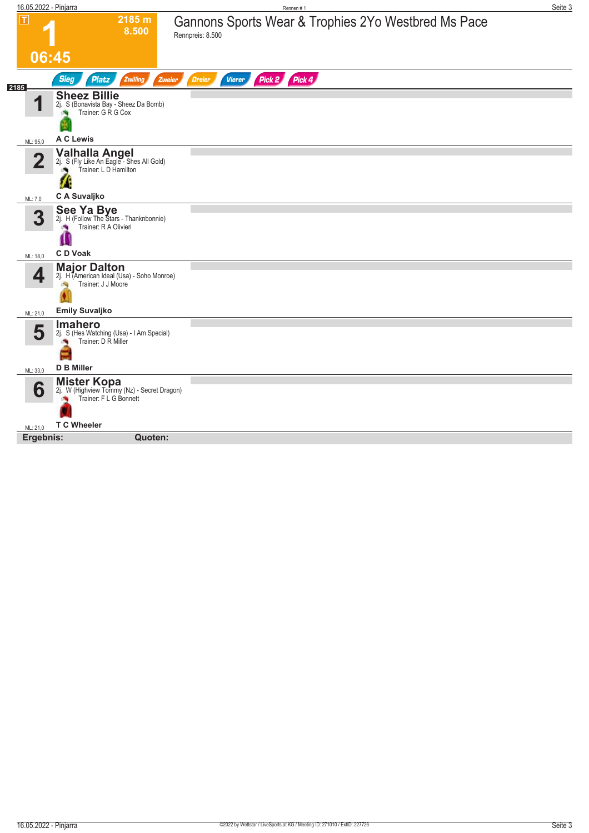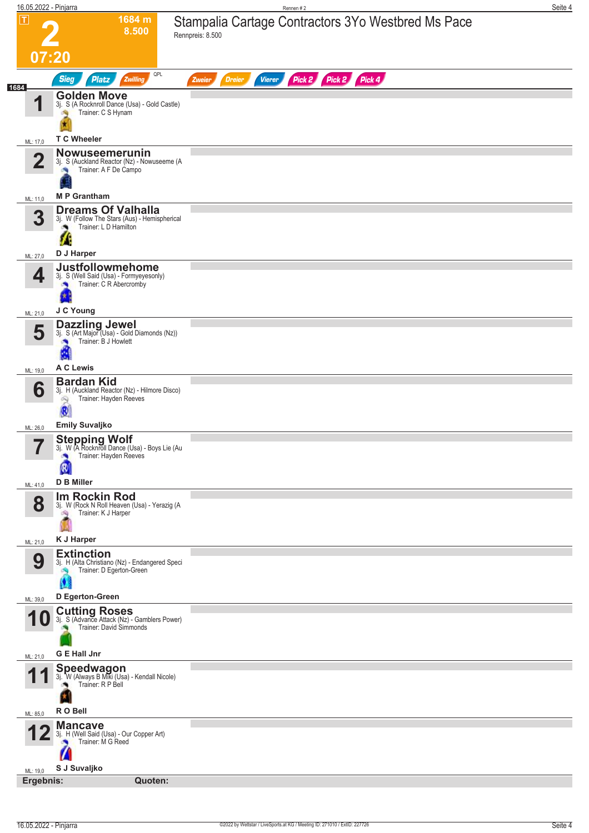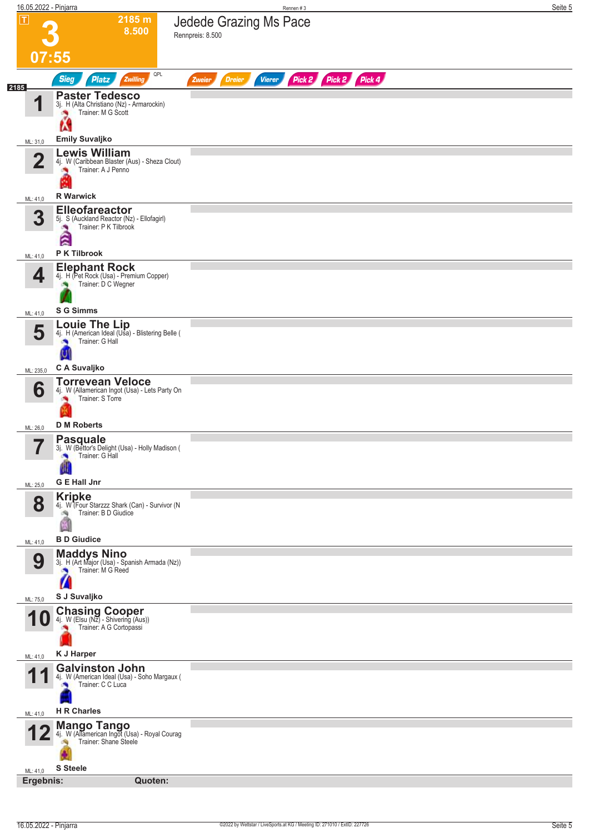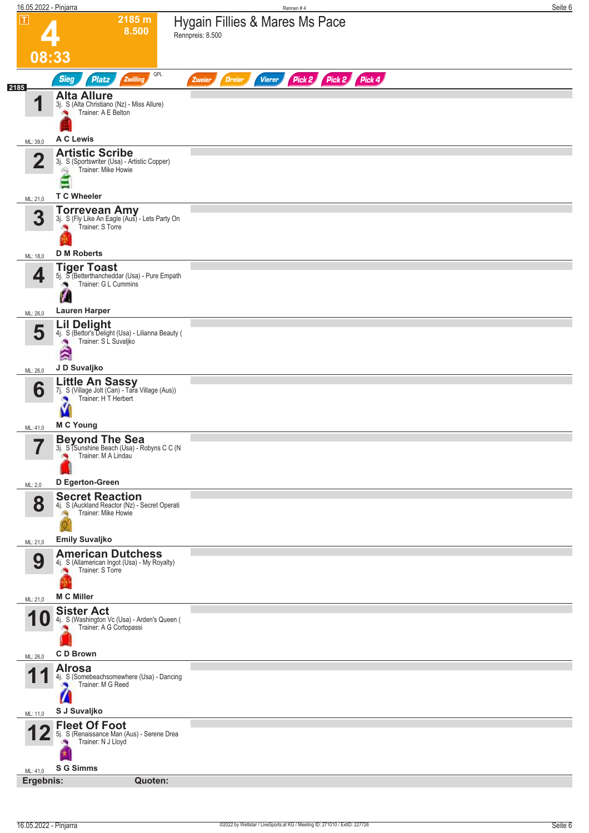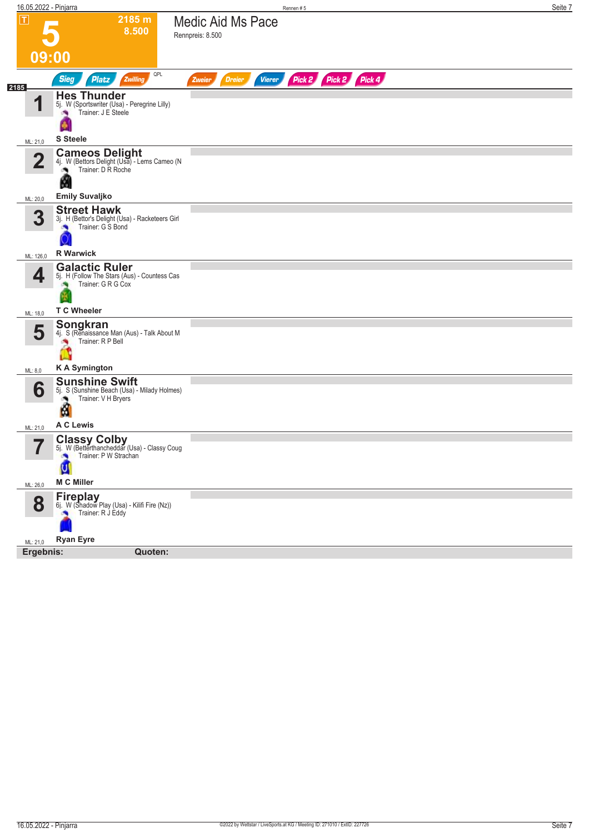| 16.05.2022 - Pinjarra         |                                                                                                                   | Rennen#5                                                         | Seite 7 |
|-------------------------------|-------------------------------------------------------------------------------------------------------------------|------------------------------------------------------------------|---------|
| $ \mathbf{T} $                | 2185 m<br>8.500                                                                                                   | Medic Aid Ms Pace<br>Rennpreis: 8.500                            |         |
| 09:00                         |                                                                                                                   |                                                                  |         |
|                               | QPL<br><b>Sieg</b><br><b>Platz</b><br>Zwilling                                                                    | Pick 2 Pick 2 Pick 4<br><b>Dreier</b><br><b>Vierer</b><br>Zweier |         |
| 2185                          |                                                                                                                   |                                                                  |         |
| 1                             | <b>Hes Thunder</b><br>5j. W (Sportswriter (Usa) - Peregrine Lilly)<br>Trainer: J E Steele                         |                                                                  |         |
| ML: 21,0                      | <b>S</b> Steele                                                                                                   |                                                                  |         |
| $\mathbf{2}$                  | <b>Cameos Delight</b><br>4j. W (Bettors Delight (Usa) - Lems Cameo (N<br>Trainer: D R Roche<br>H                  |                                                                  |         |
| ML: 20,0                      | <b>Emily Suvaljko</b>                                                                                             |                                                                  |         |
| 3                             | <b>Street Hawk</b><br>3j. H (Bettor's Delight (Usa) - Racketeers Girl<br>Trainer: G S Bond                        |                                                                  |         |
| ML: 126,0                     | <b>R</b> Warwick                                                                                                  |                                                                  |         |
| 4<br>ML: 18,0                 | <b>Galactic Ruler</b><br>5j. H (Follow The Stars (Aus) - Countess Cas<br>Trainer: G R G Cox<br><b>T C Wheeler</b> |                                                                  |         |
|                               | Songkran                                                                                                          |                                                                  |         |
| 5                             | 4j. S (Renaissance Man (Aus) - Talk About M<br>Trainer: R P Bell<br>Ľ                                             |                                                                  |         |
| ML: 8,0                       | <b>KA Symington</b>                                                                                               |                                                                  |         |
| 6                             | <b>Sunshine Swift</b><br>5j. S (Sunshine Beach (Usa) - Milady Holmes)<br>Trainer: V H Bryers<br>M<br>A C Lewis    |                                                                  |         |
| ML: 21,0                      |                                                                                                                   |                                                                  |         |
| $\overline{\phantom{a}}$<br>T | <b>Classy Colby</b><br>5j. W (Betterthancheddar (Usa) - Classy Coug<br>Trainer: P W Strachan<br>M C Miller        |                                                                  |         |
| ML: 26,0                      |                                                                                                                   |                                                                  |         |
| 8                             | Fireplay<br>6j. W (Shadow Play (Usa) - Kilifi Fire (Nz))<br>Trainer: R J Eddy                                     |                                                                  |         |
| ML: 21,0                      | <b>Ryan Eyre</b>                                                                                                  |                                                                  |         |
| Ergebnis:                     | Quoten:                                                                                                           |                                                                  |         |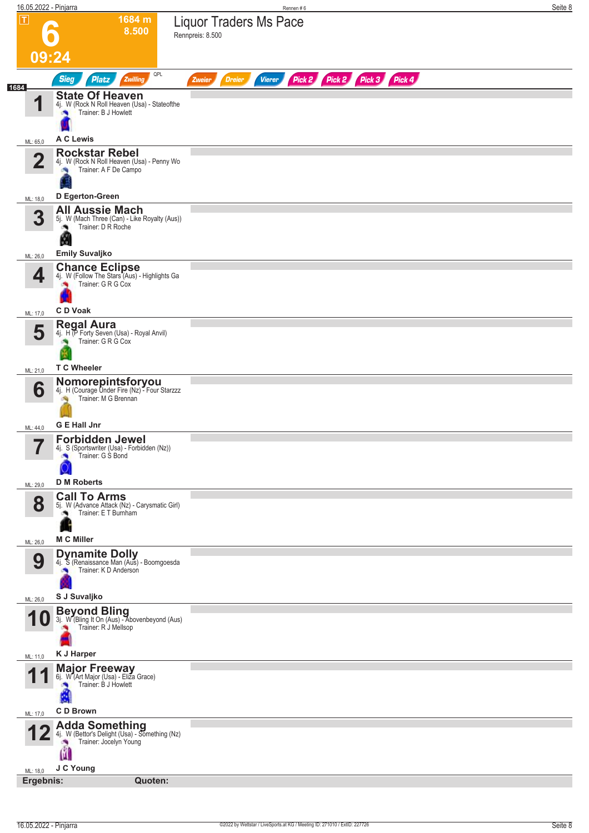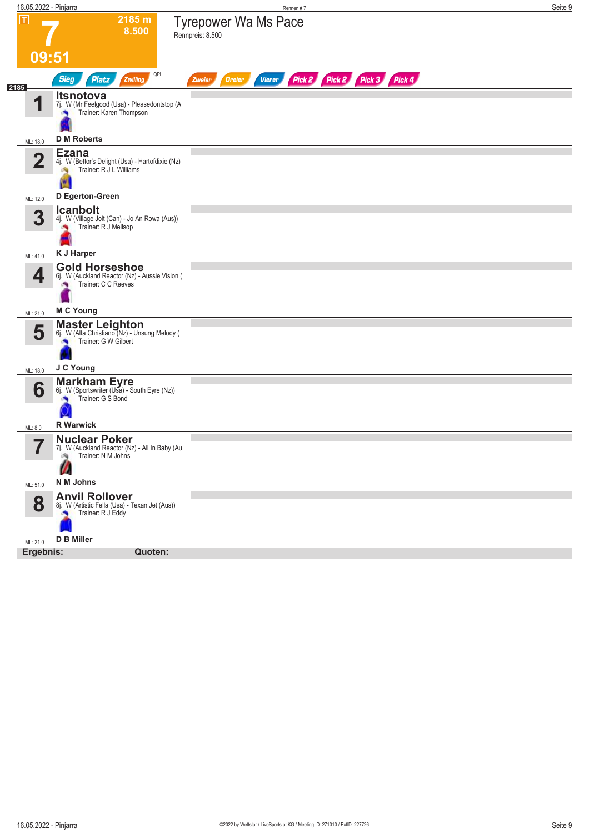